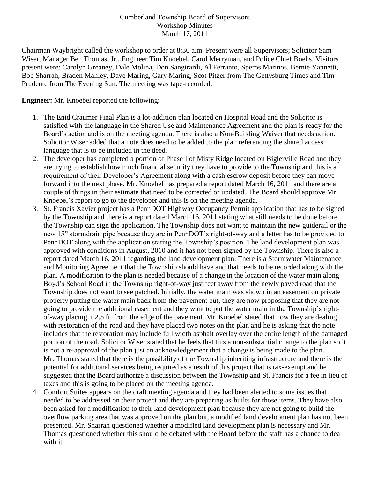## Cumberland Township Board of Supervisors Workshop Minutes March 17, 2011

Chairman Waybright called the workshop to order at 8:30 a.m. Present were all Supervisors; Solicitor Sam Wiser, Manager Ben Thomas, Jr., Engineer Tim Knoebel, Carol Merryman, and Police Chief Boehs. Visitors present were: Carolyn Greaney, Dale Molina, Don Sangirardi, Al Ferranto, Speros Marinos, Bernie Yannetti, Bob Sharrah, Braden Mahley, Dave Maring, Gary Maring, Scot Pitzer from The Gettysburg Times and Tim Prudente from The Evening Sun. The meeting was tape-recorded.

## **Engineer:** Mr. Knoebel reported the following:

- 1. The Enid Craumer Final Plan is a lot-addition plan located on Hospital Road and the Solicitor is satisfied with the language in the Shared Use and Maintenance Agreement and the plan is ready for the Board's action and is on the meeting agenda. There is also a Non-Building Waiver that needs action. Solicitor Wiser added that a note does need to be added to the plan referencing the shared access language that is to be included in the deed.
- 2. The developer has completed a portion of Phase I of Misty Ridge located on Biglerville Road and they are trying to establish how much financial security they have to provide to the Township and this is a requirement of their Developer's Agreement along with a cash escrow deposit before they can move forward into the next phase. Mr. Knoebel has prepared a report dated March 16, 2011 and there are a couple of things in their estimate that need to be corrected or updated. The Board should approve Mr. Knoebel's report to go to the developer and this is on the meeting agenda.
- 3. St. Francis Xavier project has a PennDOT Highway Occupancy Permit application that has to be signed by the Township and there is a report dated March 16, 2011 stating what still needs to be done before the Township can sign the application. The Township does not want to maintain the new guiderail or the new 15" stormdrain pipe because they are in PennDOT's right-of-way and a letter has to be provided to PennDOT along with the application stating the Township's position. The land development plan was approved with conditions in August, 2010 and it has not been signed by the Township. There is also a report dated March 16, 2011 regarding the land development plan. There is a Stormwater Maintenance and Monitoring Agreement that the Township should have and that needs to be recorded along with the plan. A modification to the plan is needed because of a change in the location of the water main along Boyd's School Road in the Township right-of-way just feet away from the newly paved road that the Township does not want to see patched. Initially, the water main was shown in an easement on private property putting the water main back from the pavement but, they are now proposing that they are not going to provide the additional easement and they want to put the water main in the Township's rightof-way placing it 2.5 ft. from the edge of the pavement. Mr. Knoebel stated that now they are dealing with restoration of the road and they have placed two notes on the plan and he is asking that the note includes that the restoration may include full width asphalt overlay over the entire length of the damaged portion of the road. Solicitor Wiser stated that he feels that this a non-substantial change to the plan so it is not a re-approval of the plan just an acknowledgement that a change is being made to the plan. Mr. Thomas stated that there is the possibility of the Township inheriting infrastructure and there is the potential for additional services being required as a result of this project that is tax-exempt and he suggested that the Board authorize a discussion between the Township and St. Francis for a fee in lieu of taxes and this is going to be placed on the meeting agenda.
- 4. Comfort Suites appears on the draft meeting agenda and they had been alerted to some issues that needed to be addressed on their project and they are preparing as-builts for those items. They have also been asked for a modification to their land development plan because they are not going to build the overflow parking area that was approved on the plan but, a modified land development plan has not been presented. Mr. Sharrah questioned whether a modified land development plan is necessary and Mr. Thomas questioned whether this should be debated with the Board before the staff has a chance to deal with it.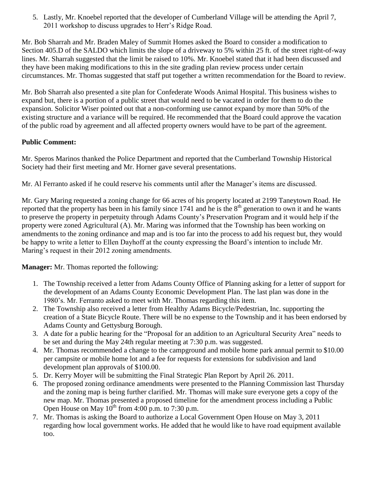5. Lastly, Mr. Knoebel reported that the developer of Cumberland Village will be attending the April 7, 2011 workshop to discuss upgrades to Herr's Ridge Road.

Mr. Bob Sharrah and Mr. Braden Maley of Summit Homes asked the Board to consider a modification to Section 405.D of the SALDO which limits the slope of a driveway to 5% within 25 ft. of the street right-of-way lines. Mr. Sharrah suggested that the limit be raised to 10%. Mr. Knoebel stated that it had been discussed and they have been making modifications to this in the site grading plan review process under certain circumstances. Mr. Thomas suggested that staff put together a written recommendation for the Board to review.

Mr. Bob Sharrah also presented a site plan for Confederate Woods Animal Hospital. This business wishes to expand but, there is a portion of a public street that would need to be vacated in order for them to do the expansion. Solicitor Wiser pointed out that a non-conforming use cannot expand by more than 50% of the existing structure and a variance will be required. He recommended that the Board could approve the vacation of the public road by agreement and all affected property owners would have to be part of the agreement.

# **Public Comment:**

Mr. Speros Marinos thanked the Police Department and reported that the Cumberland Township Historical Society had their first meeting and Mr. Horner gave several presentations.

Mr. Al Ferranto asked if he could reserve his comments until after the Manager's items are discussed.

Mr. Gary Maring requested a zoning change for 66 acres of his property located at 2199 Taneytown Road. He reported that the property has been in his family since  $1741$  and he is the  $8<sup>th</sup>$  generation to own it and he wants to preserve the property in perpetuity through Adams County's Preservation Program and it would help if the property were zoned Agricultural (A). Mr. Maring was informed that the Township has been working on amendments to the zoning ordinance and map and is too far into the process to add his request but, they would be happy to write a letter to Ellen Dayhoff at the county expressing the Board's intention to include Mr. Maring's request in their 2012 zoning amendments.

**Manager:** Mr. Thomas reported the following:

- 1. The Township received a letter from Adams County Office of Planning asking for a letter of support for the development of an Adams County Economic Development Plan. The last plan was done in the 1980's. Mr. Ferranto asked to meet with Mr. Thomas regarding this item.
- 2. The Township also received a letter from Healthy Adams Bicycle/Pedestrian, Inc. supporting the creation of a State Bicycle Route. There will be no expense to the Township and it has been endorsed by Adams County and Gettysburg Borough.
- 3. A date for a public hearing for the "Proposal for an addition to an Agricultural Security Area" needs to be set and during the May 24th regular meeting at 7:30 p.m. was suggested.
- 4. Mr. Thomas recommended a change to the campground and mobile home park annual permit to \$10.00 per campsite or mobile home lot and a fee for requests for extensions for subdivision and land development plan approvals of \$100.00.
- 5. Dr. Kerry Moyer will be submitting the Final Strategic Plan Report by April 26. 2011.
- 6. The proposed zoning ordinance amendments were presented to the Planning Commission last Thursday and the zoning map is being further clarified. Mr. Thomas will make sure everyone gets a copy of the new map. Mr. Thomas presented a proposed timeline for the amendment process including a Public Open House on May  $10^{th}$  from 4:00 p.m. to 7:30 p.m.
- 7. Mr. Thomas is asking the Board to authorize a Local Government Open House on May 3, 2011 regarding how local government works. He added that he would like to have road equipment available too.